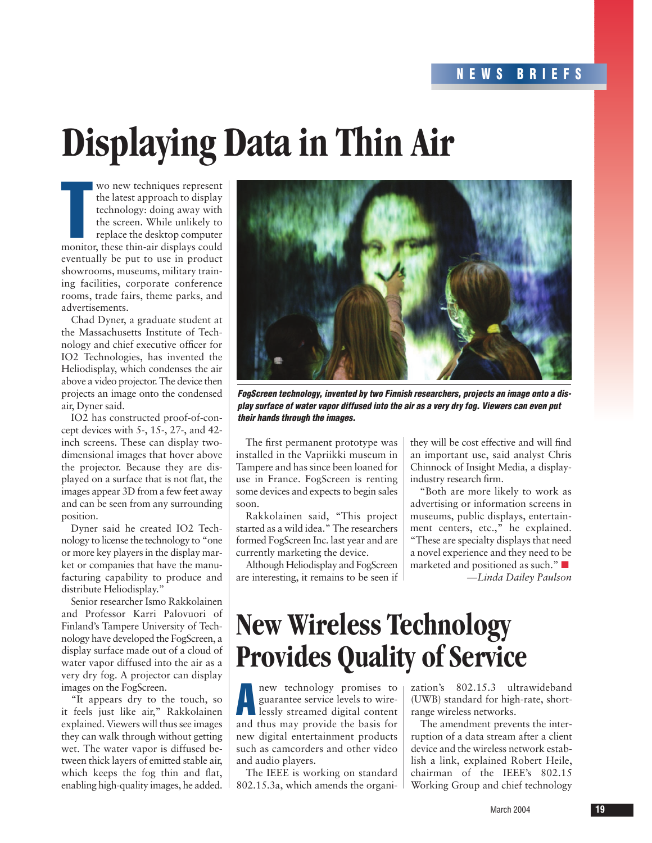## **Displaying Data in Thin Air**

wo new techniques represent<br>the latest approach to display<br>technology: doing away with<br>the screen. While unlikely to<br>replace the desktop computer<br>monitor, these thin-air displays could wo new techniques represent the latest approach to display technology: doing away with the screen. While unlikely to replace the desktop computer eventually be put to use in product showrooms, museums, military training facilities, corporate conference rooms, trade fairs, theme parks, and advertisements.

Chad Dyner, a graduate student at the Massachusetts Institute of Technology and chief executive officer for IO2 Technologies, has invented the Heliodisplay, which condenses the air above a video projector. The device then projects an image onto the condensed air, Dyner said.

IO2 has constructed proof-of-concept devices with 5-, 15-, 27-, and 42 inch screens. These can display twodimensional images that hover above the projector. Because they are displayed on a surface that is not flat, the images appear 3D from a few feet away and can be seen from any surrounding position.

Dyner said he created IO2 Technology to license the technology to "one or more key players in the display market or companies that have the manufacturing capability to produce and distribute Heliodisplay."

Senior researcher Ismo Rakkolainen and Professor Karri Palovuori of Finland's Tampere University of Technology have developed the FogScreen, a display surface made out of a cloud of water vapor diffused into the air as a very dry fog. A projector can display images on the FogScreen.

"It appears dry to the touch, so it feels just like air," Rakkolainen explained. Viewers will thus see images they can walk through without getting wet. The water vapor is diffused between thick layers of emitted stable air, which keeps the fog thin and flat, enabling high-quality images, he added.



*FogScreen technology, invented by two Finnish researchers, projects an image onto a display surface of water vapor diffused into the air as a very dry fog. Viewers can even put their hands through the images.*

The first permanent prototype was installed in the Vapriikki museum in Tampere and has since been loaned for use in France. FogScreen is renting some devices and expects to begin sales soon.

Rakkolainen said, "This project started as a wild idea." The researchers formed FogScreen Inc. last year and are currently marketing the device.

Although Heliodisplay and FogScreen are interesting, it remains to be seen if they will be cost effective and will find an important use, said analyst Chris Chinnock of Insight Media, a displayindustry research firm.

"Both are more likely to work as advertising or information screens in museums, public displays, entertainment centers, etc.," he explained. "These are specialty displays that need a novel experience and they need to be marketed and positioned as such." ■ *—Linda Dailey Paulson*

## **New Wireless Technology Provides Quality of Service**

A new technology promises to guarantee service levels to wirelessly streamed digital content and thus may provide the basis for new digital entertainment products such as camcorders and other video and audio players.

The IEEE is working on standard 802.15.3a, which amends the organization's 802.15.3 ultrawideband (UWB) standard for high-rate, shortrange wireless networks.

The amendment prevents the interruption of a data stream after a client device and the wireless network establish a link, explained Robert Heile, chairman of the IEEE's 802.15 Working Group and chief technology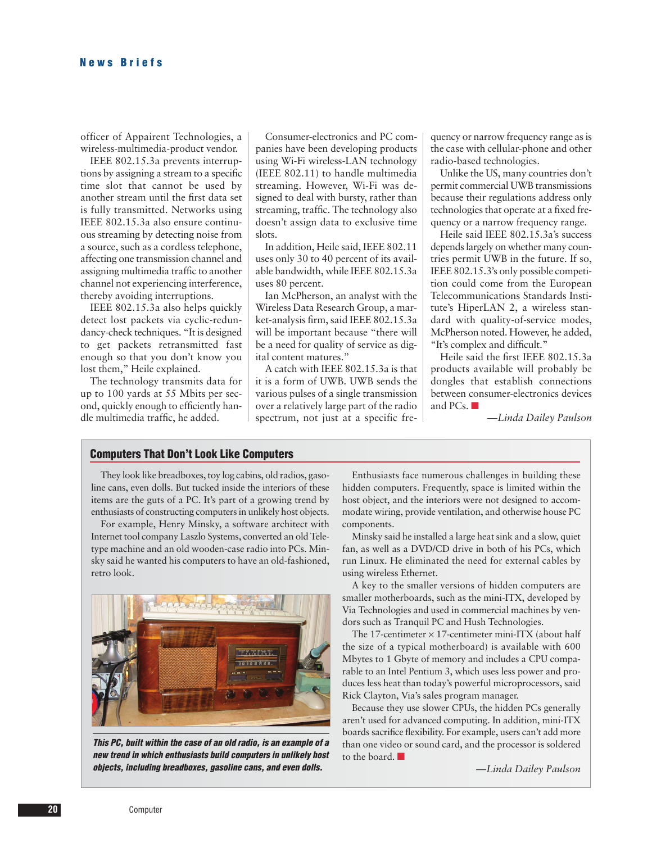officer of Appairent Technologies, a wireless-multimedia-product vendor.

IEEE 802.15.3a prevents interruptions by assigning a stream to a specific time slot that cannot be used by another stream until the first data set is fully transmitted. Networks using IEEE 802.15.3a also ensure continuous streaming by detecting noise from a source, such as a cordless telephone, affecting one transmission channel and assigning multimedia traffic to another channel not experiencing interference, thereby avoiding interruptions.

IEEE 802.15.3a also helps quickly detect lost packets via cyclic-redundancy-check techniques. "It is designed to get packets retransmitted fast enough so that you don't know you lost them," Heile explained.

The technology transmits data for up to 100 yards at 55 Mbits per second, quickly enough to efficiently handle multimedia traffic, he added.

Consumer-electronics and PC companies have been developing products using Wi-Fi wireless-LAN technology (IEEE 802.11) to handle multimedia streaming. However, Wi-Fi was designed to deal with bursty, rather than streaming, traffic. The technology also doesn't assign data to exclusive time slots.

In addition, Heile said, IEEE 802.11 uses only 30 to 40 percent of its available bandwidth, while IEEE 802.15.3a uses 80 percent.

Ian McPherson, an analyst with the Wireless Data Research Group, a market-analysis firm, said IEEE 802.15.3a will be important because "there will be a need for quality of service as digital content matures."

A catch with IEEE 802.15.3a is that it is a form of UWB. UWB sends the various pulses of a single transmission over a relatively large part of the radio spectrum, not just at a specific frequency or narrow frequency range as is the case with cellular-phone and other radio-based technologies.

Unlike the US, many countries don't permit commercial UWB transmissions because their regulations address only technologies that operate at a fixed frequency or a narrow frequency range.

Heile said IEEE 802.15.3a's success depends largely on whether many countries permit UWB in the future. If so, IEEE 802.15.3's only possible competition could come from the European Telecommunications Standards Institute's HiperLAN 2, a wireless standard with quality-of-service modes, McPherson noted. However, he added, "It's complex and difficult."

Heile said the first IEEE 802.15.3a products available will probably be dongles that establish connections between consumer-electronics devices and PCs. ■

*—Linda Dailey Paulson*

## **Computers That Don't Look Like Computers**

They look like breadboxes, toy log cabins, old radios, gasoline cans, even dolls. But tucked inside the interiors of these items are the guts of a PC. It's part of a growing trend by enthusiasts of constructing computers in unlikely host objects.

For example, Henry Minsky, a software architect with Internet tool company Laszlo Systems, converted an old Teletype machine and an old wooden-case radio into PCs. Minsky said he wanted his computers to have an old-fashioned, retro look.



*This PC, built within the case of an old radio, is an example of a new trend in which enthusiasts build computers in unlikely host objects, including breadboxes, gasoline cans, and even dolls.*

Enthusiasts face numerous challenges in building these hidden computers. Frequently, space is limited within the host object, and the interiors were not designed to accommodate wiring, provide ventilation, and otherwise house PC components.

Minsky said he installed a large heat sink and a slow, quiet fan, as well as a DVD/CD drive in both of his PCs, which run Linux. He eliminated the need for external cables by using wireless Ethernet.

A key to the smaller versions of hidden computers are smaller motherboards, such as the mini-ITX, developed by Via Technologies and used in commercial machines by vendors such as Tranquil PC and Hush Technologies.

The 17-centimeter  $\times$  17-centimeter mini-ITX (about half the size of a typical motherboard) is available with 600 Mbytes to 1 Gbyte of memory and includes a CPU comparable to an Intel Pentium 3, which uses less power and produces less heat than today's powerful microprocessors, said Rick Clayton, Via's sales program manager.

Because they use slower CPUs, the hidden PCs generally aren't used for advanced computing. In addition, mini-ITX boards sacrifice flexibility. For example, users can't add more than one video or sound card, and the processor is soldered to the board. ■

*—Linda Dailey Paulson*